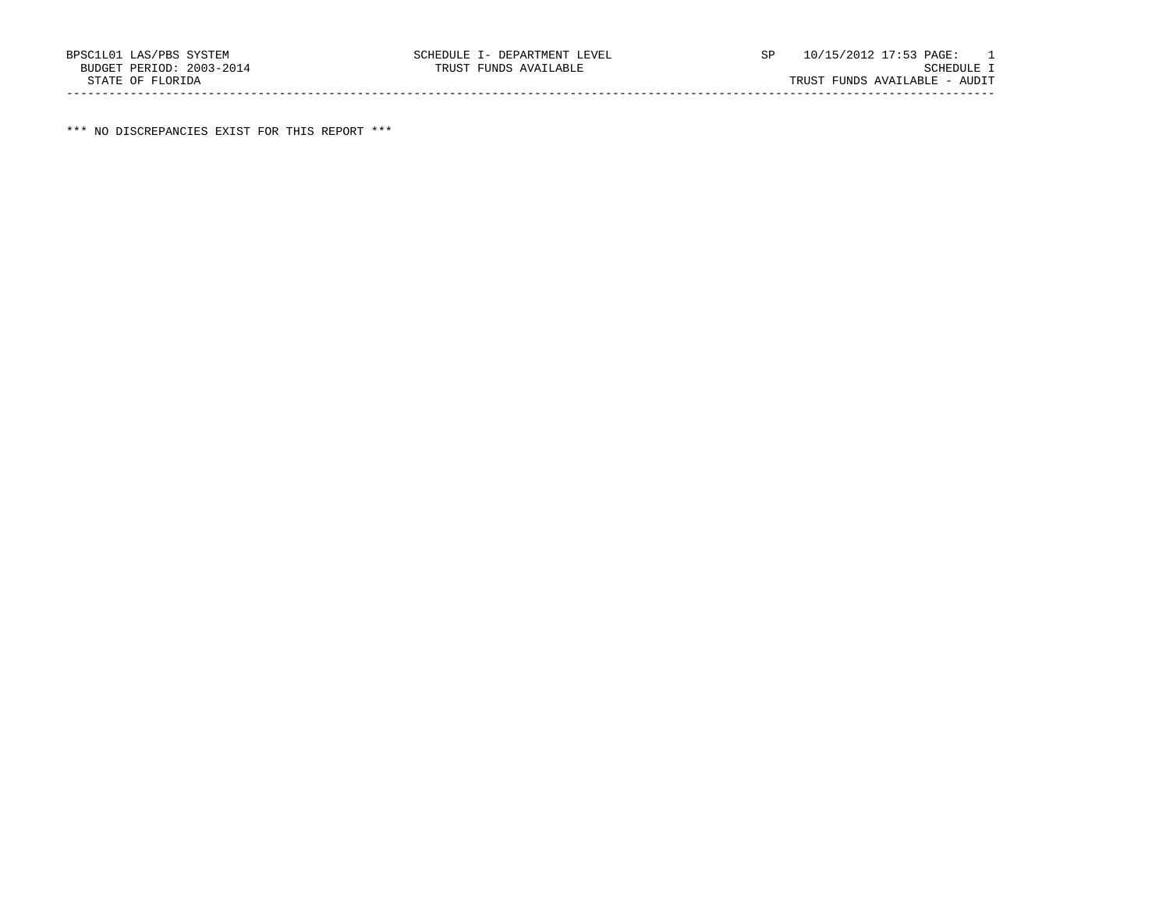\*\*\* NO DISCREPANCIES EXIST FOR THIS REPORT \*\*\*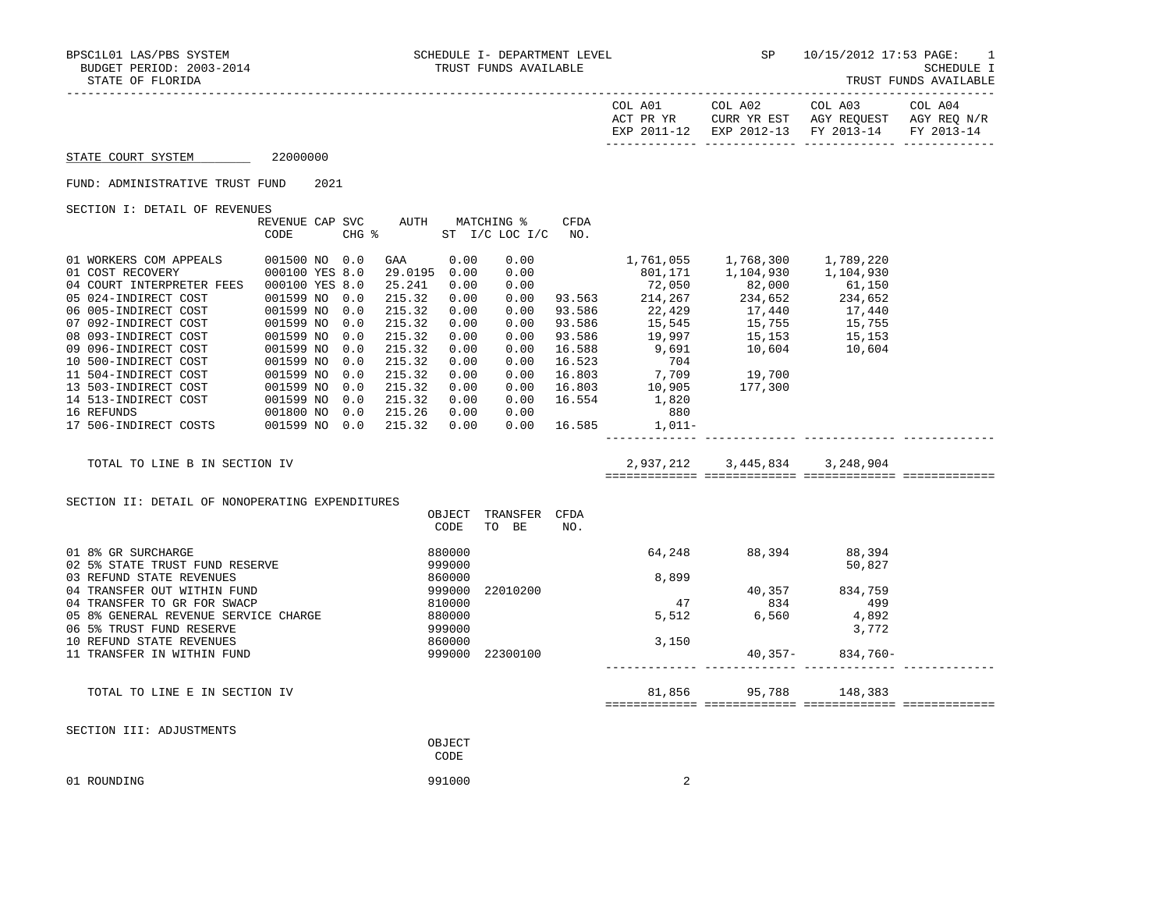SCHEDULE I<br>TRUST FUNDS AVAILABLE

| PIAIR OF FLOKIDA                                |                        |      |            |                  |                            |                               |                       |                                            |                                                                                                                                                                                                                                                                     |                         | IKUSI FUNDS AVAILABLE |
|-------------------------------------------------|------------------------|------|------------|------------------|----------------------------|-------------------------------|-----------------------|--------------------------------------------|---------------------------------------------------------------------------------------------------------------------------------------------------------------------------------------------------------------------------------------------------------------------|-------------------------|-----------------------|
|                                                 |                        |      |            |                  |                            |                               |                       | COL A01                                    | ACT PR YR $\,$ CURR YR EST $\,$ AGY REQUEST $\,$ AGY REQ $\rm N/R$<br>EXP 2011-12 EXP 2012-13 FY 2013-14                                                                                                                                                            | COL A02 COL A03 COL A04 | FY 2013-14            |
| STATE COURT SYSTEM                              | 22000000               |      |            |                  |                            |                               |                       |                                            |                                                                                                                                                                                                                                                                     |                         |                       |
| FUND: ADMINISTRATIVE TRUST FUND                 |                        | 2021 |            |                  |                            |                               |                       |                                            |                                                                                                                                                                                                                                                                     |                         |                       |
| SECTION I: DETAIL OF REVENUES                   |                        |      |            |                  |                            |                               |                       |                                            |                                                                                                                                                                                                                                                                     |                         |                       |
|                                                 | REVENUE CAP SVC        |      |            |                  |                            | AUTH MATCHING %               | CFDA                  |                                            |                                                                                                                                                                                                                                                                     |                         |                       |
|                                                 | CODE                   |      |            | $CHG$ $\approx$  |                            | ST I/C LOC I/C                | NO.                   |                                            |                                                                                                                                                                                                                                                                     |                         |                       |
| 01 WORKERS COM APPEALS                          | 001500 NO 0.0          |      |            | GAA              | 0.00                       | 0.00                          |                       |                                            | 1,761,055 1,768,300 1,789,220                                                                                                                                                                                                                                       |                         |                       |
| 01 COST RECOVERY                                | 000100 YES 8.0         |      |            | 29.0195 0.00     |                            | 0.00                          |                       |                                            | $\begin{array}{cccccc} 1,701,703 & 1,706,300 & 1,708,220 \ 801,171 & 1,104,930 & 1,104,930 \ 72,050 & 82,000 & 61,150 \ 93.563 & 214,267 & 234,652 & 234,652 \ 93.586 & 22,429 & 17,440 & 17,440 \ 93.586 & 15,545 & 15,755 & 15,755 \ 93.586 & 19,997 & 15,153 & $ |                         |                       |
| 04 COURT INTERPRETER FEES 000100 YES 8.0        |                        |      |            | 25.241           | 0.00                       | 0.00                          |                       |                                            |                                                                                                                                                                                                                                                                     |                         |                       |
| 05 024-INDIRECT COST                            | 001599 NO              |      | 0.0        | 215.32           | 0.00                       | 0.00                          |                       |                                            |                                                                                                                                                                                                                                                                     |                         |                       |
| 06 005-INDIRECT COST                            | 001599 NO              |      | 0.0        | 215.32           | 0.00                       | 0.00                          |                       |                                            |                                                                                                                                                                                                                                                                     |                         |                       |
| 07 092-INDIRECT COST                            | 001599 NO              |      | 0.0        | 215.32           | 0.00                       | 0.00                          |                       |                                            |                                                                                                                                                                                                                                                                     |                         |                       |
| 08 093-INDIRECT COST                            | 001599 NO              |      | 0.0        | 215.32           | 0.00                       | 0.00                          |                       |                                            |                                                                                                                                                                                                                                                                     |                         |                       |
| 09 096-INDIRECT COST                            | 001599 NO              |      | 0.0        | 215.32           | 0.00                       | 0.00                          |                       |                                            |                                                                                                                                                                                                                                                                     |                         |                       |
| 10 500-INDIRECT COST                            | 001599 NO              |      | 0.0        | 215.32           | 0.00                       | 0.00                          | 16.523                | 704                                        |                                                                                                                                                                                                                                                                     |                         |                       |
| 11 504-INDIRECT COST                            | 001599 NO              |      | 0.0<br>0.0 | 215.32           | 0.00<br>0.00               | 0.00<br>0.00                  | 16.803                | $7,709$<br>$10,905$<br>$1,820$<br>$1,820$  |                                                                                                                                                                                                                                                                     |                         |                       |
| 13 503-INDIRECT COST<br>14 513-INDIRECT COST    | 001599 NO<br>001599 NO |      | 0.0        | 215.32<br>215.32 | 0.00                       |                               | 16.803<br>0.00 16.554 |                                            |                                                                                                                                                                                                                                                                     |                         |                       |
| 16 REFUNDS                                      | 001800 NO 0.0          |      |            | 215.26           | 0.00                       |                               | 0.00                  | 880                                        |                                                                                                                                                                                                                                                                     |                         |                       |
| 17 506-INDIRECT COSTS 001599 NO 0.0             |                        |      |            | 215.32           | 0.00                       |                               | 0.00 16.585           | 1,011-                                     |                                                                                                                                                                                                                                                                     |                         |                       |
|                                                 |                        |      |            |                  |                            |                               |                       |                                            |                                                                                                                                                                                                                                                                     |                         |                       |
| TOTAL TO LINE B IN SECTION IV                   |                        |      |            |                  |                            |                               |                       |                                            | 2,937,212 3,445,834 3,248,904                                                                                                                                                                                                                                       |                         |                       |
|                                                 |                        |      |            |                  |                            |                               |                       |                                            |                                                                                                                                                                                                                                                                     |                         |                       |
| SECTION II: DETAIL OF NONOPERATING EXPENDITURES |                        |      |            |                  |                            |                               |                       |                                            |                                                                                                                                                                                                                                                                     |                         |                       |
|                                                 |                        |      |            |                  | CODE                       | OBJECT TRANSFER CFDA<br>TO BE | NO.                   |                                            |                                                                                                                                                                                                                                                                     |                         |                       |
|                                                 |                        |      |            |                  |                            |                               |                       |                                            |                                                                                                                                                                                                                                                                     |                         |                       |
| 01 8% GR SURCHARGE                              |                        |      |            |                  | 880000                     |                               |                       |                                            | 64,248 88,394 88,394                                                                                                                                                                                                                                                |                         |                       |
| 02 5% STATE TRUST FUND RESERVE                  |                        |      |            |                  | 999000<br>860000<br>999000 |                               |                       |                                            |                                                                                                                                                                                                                                                                     | 50,827                  |                       |
| 03 REFUND STATE REVENUES                        |                        |      |            |                  |                            |                               |                       | 8,899                                      |                                                                                                                                                                                                                                                                     |                         |                       |
| 04 TRANSFER OUT WITHIN FUND                     |                        |      |            |                  |                            | 22010200                      |                       |                                            | $\begin{array}{r} 40,357 \\ 834 \\ 6,560 \end{array}$                                                                                                                                                                                                               | 834,759                 |                       |
| 04 TRANSFER TO GR FOR SWACP                     |                        |      |            |                  | 810000                     |                               |                       | $\begin{array}{c} 47 \\ 5,512 \end{array}$ |                                                                                                                                                                                                                                                                     | 499                     |                       |
| 05 8% GENERAL REVENUE SERVICE CHARGE            |                        |      |            |                  | 880000                     |                               |                       |                                            | 5,512 6,560                                                                                                                                                                                                                                                         | 4,892                   |                       |
| 06 5% TRUST FUND RESERVE                        |                        |      |            |                  | 999000                     |                               |                       |                                            |                                                                                                                                                                                                                                                                     | 3,772                   |                       |
| 10 REFUND STATE REVENUES                        |                        |      |            |                  | 860000                     |                               |                       | 3,150                                      |                                                                                                                                                                                                                                                                     |                         |                       |
| 11 TRANSFER IN WITHIN FUND                      |                        |      |            |                  |                            | 999000 22300100               |                       |                                            |                                                                                                                                                                                                                                                                     | $40,357 - 834,760 -$    |                       |
|                                                 |                        |      |            |                  |                            |                               |                       |                                            | 81,856 95,788                                                                                                                                                                                                                                                       |                         |                       |
| TOTAL TO LINE E IN SECTION IV                   |                        |      |            |                  |                            |                               |                       |                                            |                                                                                                                                                                                                                                                                     | 148,383                 |                       |
|                                                 |                        |      |            |                  |                            |                               |                       |                                            |                                                                                                                                                                                                                                                                     |                         |                       |
| SECTION III: ADJUSTMENTS                        |                        |      |            |                  | OBJECT                     |                               |                       |                                            |                                                                                                                                                                                                                                                                     |                         |                       |
|                                                 |                        |      |            |                  | CODE                       |                               |                       |                                            |                                                                                                                                                                                                                                                                     |                         |                       |

| 01 ROUNDING<br>991000 |  |
|-----------------------|--|
|-----------------------|--|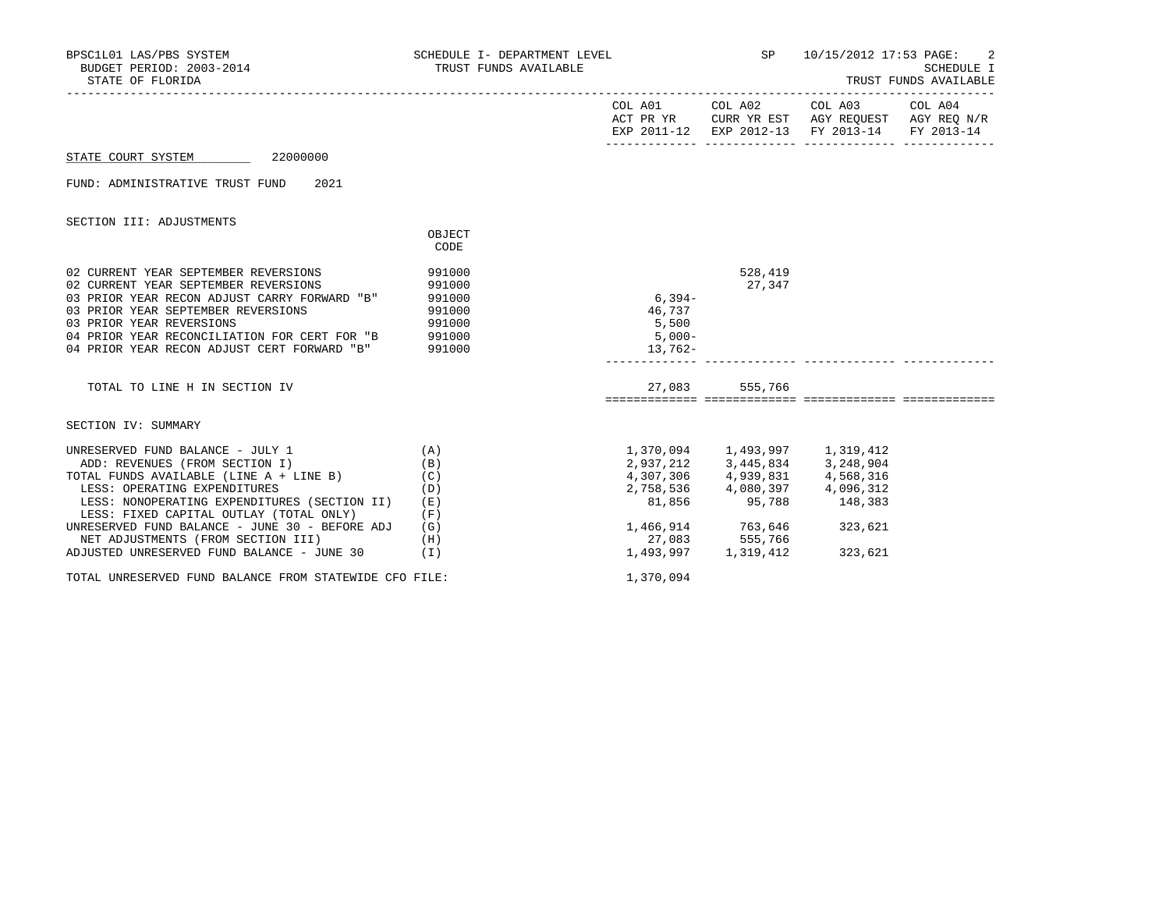| PSC1L01 LAS/PBS SYSTEM<br>BUDGET PERIOD: 2003-2014<br>BPSC1L01 LAS/PBS SYSTEM<br>STATE OF FLORIDA                                                                                                                                                                                                                                                                                                            | SCHEDULE I- DEPARTMENT LEVEL<br>TRUST FUNDS AVAILABLE |                                                                                                                                                                          |                     | SP 10/15/2012 17:53 PAGE: 2<br><b>SCHEDULE I</b><br>TRUST FUNDS AVAILABLE |  |  |
|--------------------------------------------------------------------------------------------------------------------------------------------------------------------------------------------------------------------------------------------------------------------------------------------------------------------------------------------------------------------------------------------------------------|-------------------------------------------------------|--------------------------------------------------------------------------------------------------------------------------------------------------------------------------|---------------------|---------------------------------------------------------------------------|--|--|
|                                                                                                                                                                                                                                                                                                                                                                                                              |                                                       |                                                                                                                                                                          |                     | EXP 2011-12 EXP 2012-13 FY 2013-14 FY 2013-14                             |  |  |
| STATE COURT SYSTEM 22000000                                                                                                                                                                                                                                                                                                                                                                                  |                                                       |                                                                                                                                                                          |                     |                                                                           |  |  |
| FUND: ADMINISTRATIVE TRUST FUND 2021                                                                                                                                                                                                                                                                                                                                                                         |                                                       |                                                                                                                                                                          |                     |                                                                           |  |  |
| SECTION III: ADJUSTMENTS                                                                                                                                                                                                                                                                                                                                                                                     | OBJECT<br>CODE                                        |                                                                                                                                                                          |                     |                                                                           |  |  |
| 02 CURRENT YEAR SEPTEMBER REVERSIONS<br>02 CURRENT YEAR SEPTEMBER REVERSIONS<br>03 PRIOR YEAR RECON ADJUST CARRY FORWARD "B"<br>03 PRIOR YEAR SEPTEMBER REVERSIONS<br>03 PRIOR YEAR REVERSIONS<br>04 PRIOR YEAR RECONCILIATION FOR CERT FOR "B 991000<br>04 PRIOR YEAR RECON ADJUST CERT FORWARD "B" 991000                                                                                                  | 991000<br>991000<br>- .<br>991000<br>991000<br>991000 | $6,394-$<br>46,737<br>5,500<br>$5,000-$<br>$13,762-$                                                                                                                     | 528,419<br>27,347   |                                                                           |  |  |
| TOTAL TO LINE H IN SECTION IV                                                                                                                                                                                                                                                                                                                                                                                |                                                       |                                                                                                                                                                          | 27,083 555,766      |                                                                           |  |  |
| SECTION IV: SUMMARY                                                                                                                                                                                                                                                                                                                                                                                          |                                                       |                                                                                                                                                                          |                     |                                                                           |  |  |
| UNRESERVED FUND BALANCE - JULY 1<br>(A)<br>ADD: REVENUES (FROM SECTION I)<br>TOTAL FUNDS AVAILABLE (LINE A + LINE B)<br>LESS: OPERATING EXPENDITURES<br>LESS: NONOPERATING EXPENDITURES (SECTION II) (E)<br>LESS: FIXED CAPITAL OUTLAY (TOTAL ONLY)<br>UNRESERVED FUND BALANCE - JUNE 30 - BEFORE ADJ $(G)$<br>NET ADJUSTMENTS (FROM SECTION III)<br>(H)<br>ADJUSTED UNRESERVED FUND BALANCE - JUNE 30 $(1)$ | (B)<br>(C)<br>(D)<br>(F)                              | 2, 937, 212 3, 445, 834 3, 248, 904<br>4, 307, 306 4, 939, 831 4, 568, 316<br>2, 758, 536 4, 080, 397 4, 096, 312<br>1,466,914 763,646 323,621<br>27,083 555,766 323,621 | 1,493,997 1,319,412 | 81,856 95,788 148,383<br>323,621                                          |  |  |
| TOTAL UNRESERVED FUND BALANCE FROM STATEWIDE CFO FILE:                                                                                                                                                                                                                                                                                                                                                       |                                                       | 1,370,094                                                                                                                                                                |                     |                                                                           |  |  |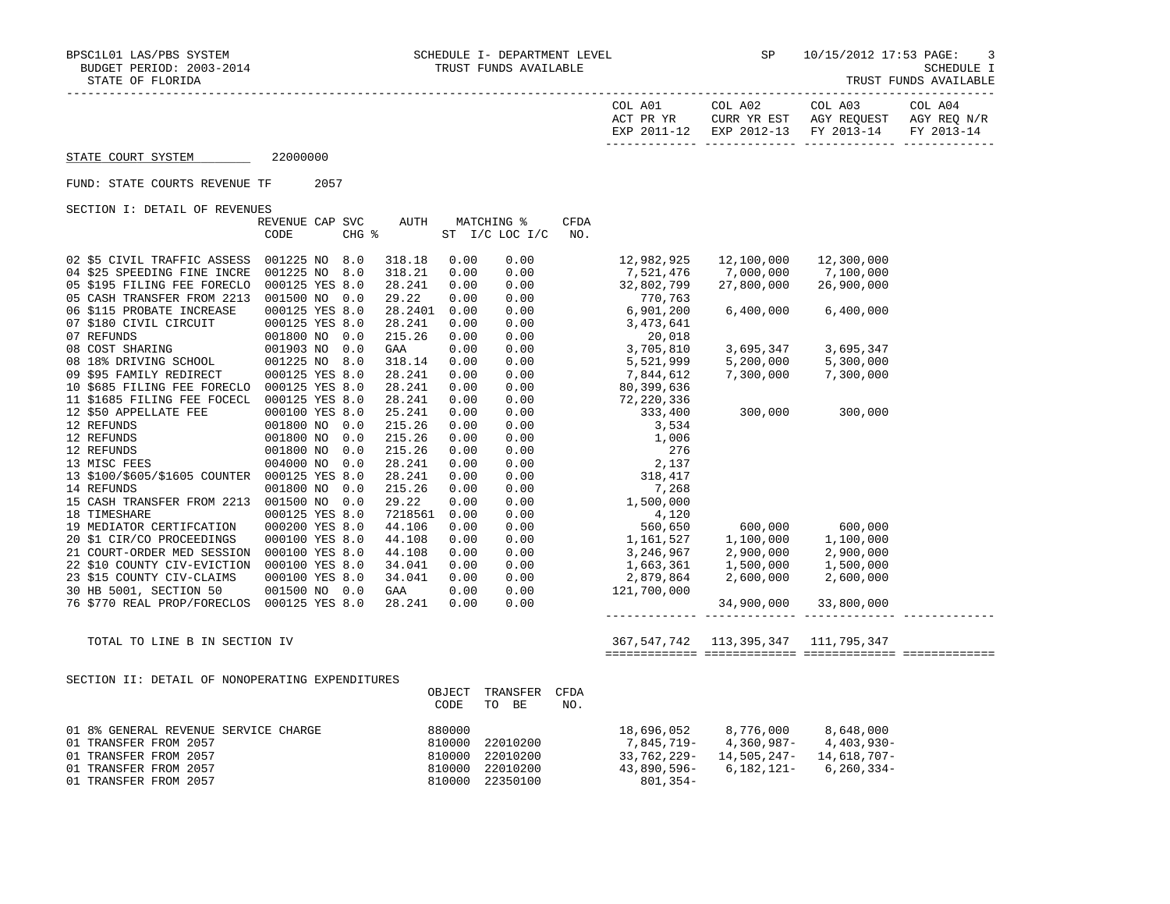TRUST FUNDS AVAILABLE

|                                              |                 |       |         |            |                |      | COL A01<br>ACT PR YR<br>EXP 2011-12 | COL A02<br>CURR YR EST<br>EXP 2012-13 | COL A03<br>AGY REQUEST AGY REQ N/R<br>FY 2013-14 | COL A04<br>FY 2013-14 |
|----------------------------------------------|-----------------|-------|---------|------------|----------------|------|-------------------------------------|---------------------------------------|--------------------------------------------------|-----------------------|
| STATE COURT SYSTEM                           | 22000000        |       |         |            |                |      |                                     |                                       |                                                  |                       |
| FUND: STATE COURTS REVENUE TF                | 2057            |       |         |            |                |      |                                     |                                       |                                                  |                       |
| SECTION I: DETAIL OF REVENUES                |                 |       |         |            |                |      |                                     |                                       |                                                  |                       |
|                                              | REVENUE CAP SVC |       | AUTH    | MATCHING % |                | CFDA |                                     |                                       |                                                  |                       |
| CODE                                         |                 | CHG % |         |            | ST I/C LOC I/C | NO.  |                                     |                                       |                                                  |                       |
| 02 \$5 CIVIL TRAFFIC ASSESS                  | 001225 NO 8.0   |       | 318.18  | 0.00       | 0.00           |      | 12,982,925                          | 12,100,000                            | 12,300,000                                       |                       |
| 04 \$25 SPEEDING FINE INCRE                  | 001225 NO       | 8.0   | 318.21  | 0.00       | 0.00           |      | 7,521,476                           | 7,000,000                             | 7,100,000                                        |                       |
| 05 \$195 FILING FEE FORECLO                  | 000125 YES 8.0  |       | 28.241  | 0.00       | 0.00           |      | 32,802,799                          | 27,800,000                            | 26,900,000                                       |                       |
| 05 CASH TRANSFER FROM 2213                   | 001500 NO       | 0.0   | 29.22   | 0.00       | 0.00           |      | 770,763                             |                                       |                                                  |                       |
| 06 \$115 PROBATE INCREASE                    | 000125 YES 8.0  |       | 28.2401 | 0.00       | 0.00           |      | 6,901,200                           | 6,400,000                             | 6,400,000                                        |                       |
| 07 \$180 CIVIL CIRCUIT                       | 000125 YES 8.0  |       | 28.241  | 0.00       | 0.00           |      | 3,473,641                           |                                       |                                                  |                       |
| 07 REFUNDS                                   | 001800 NO       | 0.0   | 215.26  | 0.00       | 0.00           |      | 20,018                              |                                       |                                                  |                       |
| 08 COST SHARING                              | 001903 NO       | 0.0   | GAA     | 0.00       | 0.00           |      | 3,705,810                           | 3,695,347                             | 3,695,347                                        |                       |
| 08 18% DRIVING SCHOOL                        | 001225 NO 8.0   |       | 318.14  | 0.00       | 0.00           |      | 5,521,999                           | 5,200,000                             | 5,300,000                                        |                       |
| 09 \$95 FAMILY REDIRECT                      | 000125 YES 8.0  |       | 28.241  | 0.00       | 0.00           |      | 7,844,612                           | 7,300,000                             | 7,300,000                                        |                       |
| 10 \$685 FILING FEE FORECLO                  | 000125 YES 8.0  |       | 28.241  | 0.00       | 0.00           |      | 80, 399, 636                        |                                       |                                                  |                       |
| 11 \$1685 FILING FEE FOCECL                  | 000125 YES 8.0  |       | 28.241  | 0.00       | 0.00           |      | 72,220,336                          |                                       |                                                  |                       |
| 12 \$50 APPELLATE FEE                        | 000100 YES 8.0  |       | 25.241  | 0.00       | 0.00           |      | 333,400                             | 300,000 300,000                       |                                                  |                       |
| 12 REFUNDS                                   | 001800 NO       | 0.0   | 215.26  | 0.00       | 0.00           |      | 3,534                               |                                       |                                                  |                       |
| 12 REFUNDS                                   | 001800 NO       | 0.0   | 215.26  | 0.00       | 0.00           |      | 1,006                               |                                       |                                                  |                       |
| 12 REFUNDS                                   | 001800 NO       | 0.0   | 215.26  | 0.00       | 0.00           |      | 276                                 |                                       |                                                  |                       |
| 13 MISC FEES                                 | 004000 NO       | 0.0   | 28.241  | 0.00       | 0.00           |      | 2,137                               |                                       |                                                  |                       |
| 13 \$100/\$605/\$1605 COUNTER 000125 YES 8.0 |                 |       | 28.241  | 0.00       | 0.00           |      | 318,417                             |                                       |                                                  |                       |
| 14 REFUNDS                                   | 001800 NO       | 0.0   | 215.26  | 0.00       | 0.00           |      | 7,268                               |                                       |                                                  |                       |
| 15 CASH TRANSFER FROM 2213                   | 001500 NO       | 0.0   | 29.22   | 0.00       | 0.00           |      | 1,500,000                           |                                       |                                                  |                       |
| 18 TIMESHARE                                 | 000125 YES 8.0  |       | 7218561 | 0.00       | 0.00           |      | 4,120<br>560,650                    |                                       |                                                  |                       |
| 19 MEDIATOR CERTIFCATION                     | 000200 YES 8.0  |       | 44.106  | 0.00       | 0.00           |      |                                     | 600,000                               | 600,000                                          |                       |
| 20 \$1 CIR/CO PROCEEDINGS                    | 000100 YES 8.0  |       | 44.108  | 0.00       | 0.00           |      | 1,161,527                           | 1,100,000                             | 1,100,000                                        |                       |
| 21 COURT-ORDER MED SESSION                   | 000100 YES 8.0  |       | 44.108  | 0.00       | 0.00           |      | 3,246,967                           | 2,900,000                             | 2,900,000                                        |                       |
| 22 \$10 COUNTY CIV-EVICTION                  | 000100 YES 8.0  |       | 34.041  | 0.00       | 0.00           |      | 1,663,361                           | 1,500,000                             | 1,500,000                                        |                       |
| 23 \$15 COUNTY CIV-CLAIMS                    | 000100 YES 8.0  |       | 34.041  | 0.00       | 0.00           |      | 2,879,864                           | 2,600,000                             | 2,600,000                                        |                       |
| 30 HB 5001, SECTION 50                       | 001500 NO 0.0   |       | GAA     | 0.00       | 0.00           |      | 121,700,000                         |                                       |                                                  |                       |
| 76 \$770 REAL PROP/FORECLOS                  | 000125 YES 8.0  |       | 28.241  | 0.00       | 0.00           |      |                                     | 34,900,000                            | 33,800,000                                       |                       |

 TOTAL TO LINE B IN SECTION IV 367,547,742 113,395,347 111,795,347 ============= ============= ============= =============

SECTION II: DETAIL OF NONOPERATING EXPENDITURES

|                                      | OBJECT<br>CODE | TRANSFER<br>TO<br>BE | CFDA<br>NO. |                |             |                 |
|--------------------------------------|----------------|----------------------|-------------|----------------|-------------|-----------------|
| 01 8% GENERAL REVENUE SERVICE CHARGE | 880000         |                      |             | 18,696,052     | 8,776,000   | 8,648,000       |
| 01 TRANSFER FROM 2057                | 810000         | 22010200             |             | 7,845,719-     | 4,360,987-  | 4,403,930-      |
| 01 TRANSFER FROM 2057                | 810000         | 22010200             |             | 33,762,229-    | 14,505,247- | 14,618,707-     |
| 01 TRANSFER FROM 2057                | 810000         | 22010200             |             | $43,890,596 -$ | 6,182,121-  | $6, 260, 334 -$ |
| 01 TRANSFER FROM 2057                | 810000         | 22350100             |             | 801,354-       |             |                 |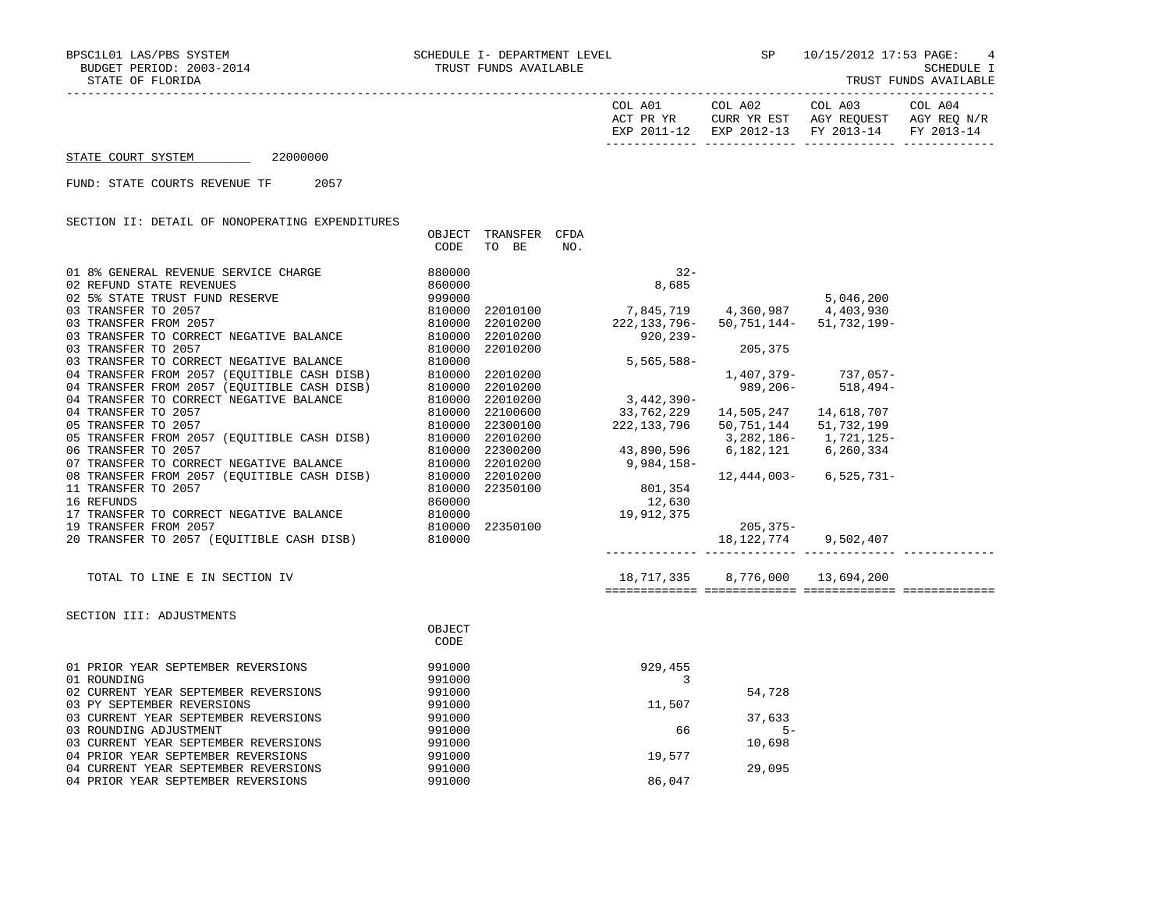| A01<br>COL            | A02<br>COL                      | A03<br>COL               | COL A04                  |
|-----------------------|---------------------------------|--------------------------|--------------------------|
| ם ח<br>VD<br>እ ጦጦ     | YR<br>고여고<br>$\cap$ TIRR<br>⊥ں∟ | REOUEST<br>AGY<br>ᅶᅜ     | AGY<br>NT / E<br>REC     |
| $2011$<br>FYD<br>$-1$ | $2012 - 13$<br>FYL              | $2013 - 14$<br><b>FV</b> | $2013 - 14$<br><b>FV</b> |
|                       |                                 |                          |                          |

STATE COURT SYSTEM 22000000

FUND: STATE COURTS REVENUE TF 2057

SECTION II: DETAIL OF NONOPERATING EXPENDITURES

|                                             | OBJECT | TRANSFER | <b>CFDA</b> |              |                     |              |
|---------------------------------------------|--------|----------|-------------|--------------|---------------------|--------------|
|                                             | CODE   | TO BE    | NO.         |              |                     |              |
|                                             |        |          |             |              |                     |              |
| 01 8% GENERAL REVENUE SERVICE CHARGE        | 880000 |          |             | $32 -$       |                     |              |
| 02 REFUND STATE REVENUES                    | 860000 |          |             | 8,685        |                     |              |
| 02 5% STATE TRUST FUND RESERVE              | 999000 |          |             |              |                     | 5,046,200    |
| 03 TRANSFER TO 2057                         | 810000 | 22010100 |             | 7,845,719    | 4,360,987 4,403,930 |              |
| 03 TRANSFER FROM 2057                       | 810000 | 22010200 |             | 222,133,796- | 50,751,144–         | 51,732,199-  |
| 03 TRANSFER TO CORRECT NEGATIVE BALANCE     | 810000 | 22010200 |             | 920,239-     |                     |              |
| 03 TRANSFER TO 2057                         | 810000 | 22010200 |             |              | 205,375             |              |
| 03 TRANSFER TO CORRECT NEGATIVE BALANCE     | 810000 |          |             | $5,565,588-$ |                     |              |
| 04 TRANSFER FROM 2057 (EOUITIBLE CASH DISB) | 810000 | 22010200 |             |              | 1,407,379-          | 737,057-     |
| 04 TRANSFER FROM 2057 (EOUITIBLE CASH DISB) | 810000 | 22010200 |             |              | 989,206-            | $518, 494 -$ |
| 04 TRANSFER TO CORRECT NEGATIVE BALANCE     | 810000 | 22010200 |             | $3,442,390-$ |                     |              |
| 04 TRANSFER TO 2057                         | 810000 | 22100600 |             | 33,762,229   | 14,505,247          | 14,618,707   |
| 05 TRANSFER TO 2057                         | 810000 | 22300100 |             | 222,133,796  | 50,751,144          | 51,732,199   |
| 05 TRANSFER FROM 2057 (EQUITIBLE CASH DISB) | 810000 | 22010200 |             |              | 3,282,186-          | 1,721,125-   |
| 06 TRANSFER TO 2057                         | 810000 | 22300200 |             | 43,890,596   | 6,182,121           | 6,260,334    |
| 07 TRANSFER TO CORRECT NEGATIVE BALANCE     | 810000 | 22010200 |             | $9,984,158-$ |                     |              |
| 08 TRANSFER FROM 2057 (EOUITIBLE CASH DISB) | 810000 | 22010200 |             |              | 12,444,003-         | $6,525,731-$ |
| 11 TRANSFER TO 2057                         | 810000 | 22350100 |             | 801,354      |                     |              |
| 16 REFUNDS                                  | 860000 |          |             | 12,630       |                     |              |
| 17 TRANSFER TO CORRECT NEGATIVE BALANCE     | 810000 |          |             | 19,912,375   |                     |              |
| 19 TRANSFER FROM 2057                       | 810000 | 22350100 |             |              | $205, 375 -$        |              |
| 20 TRANSFER TO 2057 (EQUITIBLE CASH DISB)   | 810000 |          |             |              | 18,122,774          | 9,502,407    |

TOTAL TO LINE E IN SECTION IV 18,717,335 8,776,000 13,694,200

============= ============= ============= =============

------------- ------------- ------------- -------------

 SECTION III: ADJUSTMENTS **OBJECT CODE**  01 PRIOR YEAR SEPTEMBER REVERSIONS 991000 929,455 01 ROUNDING 02 CURRENT YEAR SEPTEMBER REVERSIONS 991000 54,728 03 PY SEPTEMBER REVERSIONS<br>03 CURRENT YEAR SEPTEMBER REVERSIONS 991000 03 CURRENT YEAR SEPTEMBER REVERSIONS 991000 37,633 03 ROUNDING ADJUSTMENT 991000 66 5- 03 CURRENT YEAR SEPTEMBER REVERSIONS 04 PRIOR YEAR SEPTEMBER REVERSIONS 991000 19,577 04 CURRENT YEAR SEPTEMBER REVERSIONS 991000 29,095 04 PRIOR YEAR SEPTEMBER REVERSIONS 991000 991000 86,047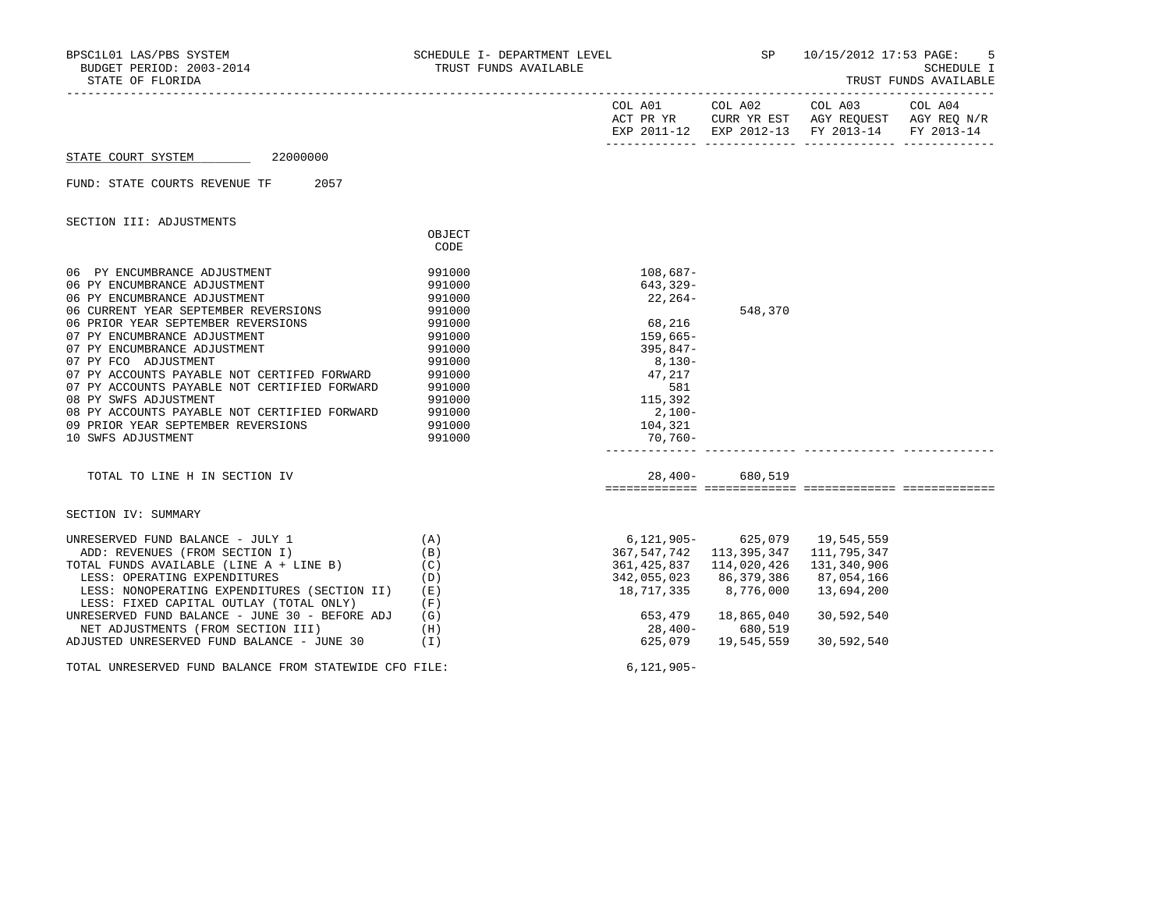| STATE OF FLORIDA                                                                                                                |                            |                                                         |                                              | SP 10/15/2012 17:53 PAGE:       | 5<br>SCHEDULE I<br>TRUST FUNDS AVAILABLE |
|---------------------------------------------------------------------------------------------------------------------------------|----------------------------|---------------------------------------------------------|----------------------------------------------|---------------------------------|------------------------------------------|
|                                                                                                                                 |                            |                                                         |                                              | COL A01 COL A02 COL A03 COL A04 |                                          |
| STATE COURT SYSTEM 22000000                                                                                                     |                            |                                                         |                                              |                                 |                                          |
| FUND: STATE COURTS REVENUE TF 2057                                                                                              |                            |                                                         |                                              |                                 |                                          |
| SECTION III: ADJUSTMENTS                                                                                                        |                            |                                                         |                                              |                                 |                                          |
|                                                                                                                                 | OBJECT<br>CODE             |                                                         |                                              |                                 |                                          |
| 06 PY ENCUMBRANCE ADJUSTMENT<br>06 PY ENCUMBRANCE ADJUSTMENT                                                                    | 991000<br>991000           | 108,687-<br>643,329-                                    |                                              |                                 |                                          |
| 06 PY ENCUMBRANCE ADJUSTMENT<br>06 CURRENT YEAR SEPTEMBER REVERSIONS                                                            | 991000<br>991000           | $22, 264-$                                              | 548,370                                      |                                 |                                          |
| 06 PRIOR YEAR SEPTEMBER REVERSIONS<br>07 PY ENCUMBRANCE ADJUSTMENT<br>07 PY ENCUMBRANCE ADJUSTMENT                              | 991000<br>991000<br>991000 | 68,216<br>159,665-                                      |                                              |                                 |                                          |
| 07 PY FCO ADJUSTMENT<br>07 PY ACCOUNTS PAYABLE NOT CERTIFED FORWARD 991000<br>291000                                            |                            | -847 , 395<br>-8, 130                                   |                                              |                                 |                                          |
| 08 PY SWFS ADJUSTMENT                                                                                                           | 991000                     | $\begin{array}{r} 47,217 \\ 581 \\ 115,392 \end{array}$ |                                              |                                 |                                          |
| 08 PY ACCOUNTS PAYABLE NOT CERTIFIED FORWARD 991000<br>09 PRIOR YEAR SEPTEMBER REVERSIONS<br>10 SWFS ADJUSTMENT                 | 991000<br>991000           | $2,100-$<br>104,321<br>70,760-                          |                                              |                                 |                                          |
|                                                                                                                                 |                            |                                                         |                                              |                                 |                                          |
| TOTAL TO LINE H IN SECTION IV                                                                                                   |                            |                                                         | 28,400- 680,519                              |                                 |                                          |
| SECTION IV: SUMMARY                                                                                                             |                            |                                                         |                                              |                                 |                                          |
| UNRESERVED FUND BALANCE - JULY 1<br>ADD: REVENUES (FROM SECTION I)                                                              | (A)                        | 367,547,742                                             | 6,121,905- 625,079 19,545,559<br>113,395,347 | 111,795,347                     |                                          |
| TOTAL FUNDS AVAILABLE (LINE A + LINE B)<br>$\overline{a}$                                                                       | (B)<br>(C)                 |                                                         | 361, 425, 837 114, 020, 426                  | 131,340,906                     |                                          |
| LESS: OPERATING EXPENDITURES<br>LESS: NONOPERATING EXPENDITURES (SECTION II) (E)<br>LESS: FIXED CAPITAL OUTLAY (TOTAL ONLY) (F) | (D)                        | 342,055,023 86,379,386<br>18,717,335 8,776,000          |                                              | 87,054,166<br>13,694,200        |                                          |
| UNRESERVED FUND BALANCE - JUNE 30 - BEFORE ADJ $(G)$                                                                            |                            |                                                         | 653,479 18,865,040                           | 30,592,540                      |                                          |
| NET ADJUSTMENTS (FROM SECTION III) (H)<br>ADJUSTED UNRESERVED FUND BALANCE - JUNE 30 (I)                                        |                            |                                                         | 28,400- 680,519<br>625,079 19,545,559        | 30,592,540                      |                                          |
| TOTAL UNRESERVED FUND BALANCE FROM STATEWIDE CFO FILE:                                                                          |                            | $6,121,905-$                                            |                                              |                                 |                                          |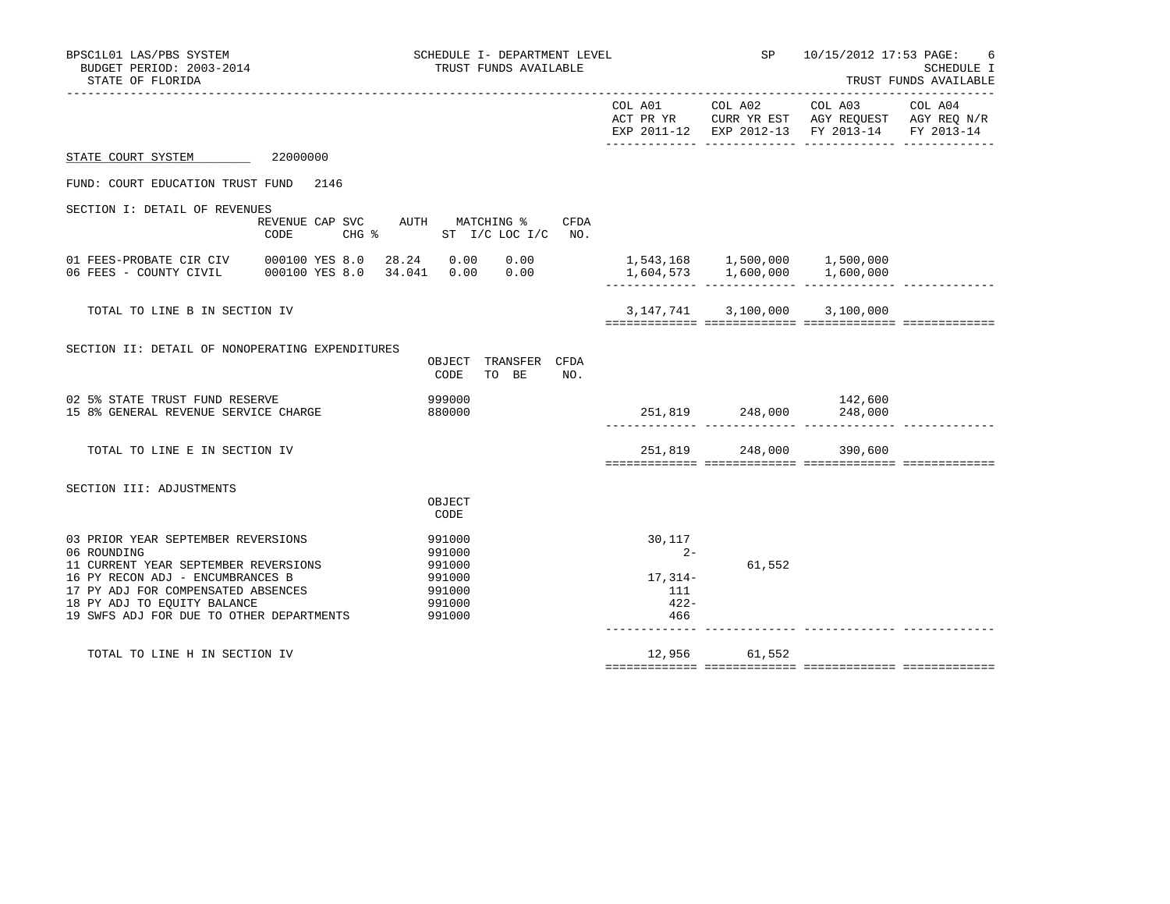| BPSC1L01 LAS/PBS SYSTEM<br>SCHEDULE I- DEPARTMENT LEVEL<br>BUDGET PERIOD: 2003-2014<br>TRUST FUNDS AVAILABLE<br>STATE OF FLORIDA                                                                                                                                                                                     |      |                                                       | <b>SP</b>       | 10/15/2012 17:53 PAGE:<br>____________________                                                                                         | 6<br>SCHEDULE I<br>TRUST FUNDS AVAILABLE |
|----------------------------------------------------------------------------------------------------------------------------------------------------------------------------------------------------------------------------------------------------------------------------------------------------------------------|------|-------------------------------------------------------|-----------------|----------------------------------------------------------------------------------------------------------------------------------------|------------------------------------------|
|                                                                                                                                                                                                                                                                                                                      |      |                                                       | COL A01 COL A02 | COL A03 COL A04<br>ACT PR YR $\,$ CURR YR EST $\,$ AGY REQUEST $\,$ AGY REQ $\rm N/R$<br>EXP 2011-12 EXP 2012-13 FY 2013-14 FY 2013-14 |                                          |
| STATE COURT SYSTEM 22000000                                                                                                                                                                                                                                                                                          |      |                                                       |                 |                                                                                                                                        |                                          |
| FUND: COURT EDUCATION TRUST FUND 2146                                                                                                                                                                                                                                                                                |      |                                                       |                 |                                                                                                                                        |                                          |
| SECTION I: DETAIL OF REVENUES<br>REVENUE CAP SVC AUTH MATCHING %<br>CHG % ST I/C LOC I/C NO.<br>CODE                                                                                                                                                                                                                 | CFDA |                                                       |                 |                                                                                                                                        |                                          |
| 01 FEES-PROBATE CIR CIV 000100 YES 8.0 28.24 0.00 0.00<br>06 FEES - COUNTY CIVIL 000100 YES 8.0 34.041 0.00 0.00                                                                                                                                                                                                     |      |                                                       |                 |                                                                                                                                        |                                          |
| TOTAL TO LINE B IN SECTION IV                                                                                                                                                                                                                                                                                        |      |                                                       |                 | 3, 147, 741 3, 100, 000 3, 100, 000                                                                                                    |                                          |
| SECTION II: DETAIL OF NONOPERATING EXPENDITURES<br>OBJECT TRANSFER CFDA<br>TO BE<br>CODE                                                                                                                                                                                                                             | NO.  |                                                       |                 |                                                                                                                                        |                                          |
| 02 5% STATE TRUST FUND RESERVE<br>999000<br>15 8% GENERAL REVENUE SERVICE CHARGE<br>880000                                                                                                                                                                                                                           |      |                                                       |                 | 142,600<br>251,819 248,000<br>248,000 2489,000 248,000                                                                                 |                                          |
| TOTAL TO LINE E IN SECTION IV                                                                                                                                                                                                                                                                                        |      |                                                       |                 | 251,819 248,000 390,600                                                                                                                |                                          |
| SECTION III: ADJUSTMENTS<br>OBJECT<br>CODE                                                                                                                                                                                                                                                                           |      |                                                       |                 |                                                                                                                                        |                                          |
| 03 PRIOR YEAR SEPTEMBER REVERSIONS<br>991000<br>06 ROUNDING<br>991000<br>11 CURRENT YEAR SEPTEMBER REVERSIONS<br>991000<br>991000<br>16 PY RECON ADJ - ENCUMBRANCES B<br>17 PY ADJ FOR COMPENSATED ABSENCES<br>991000<br>18 PY ADJ TO EOUITY BALANCE<br>991000<br>19 SWFS ADJ FOR DUE TO OTHER DEPARTMENTS<br>991000 |      | 30,117<br>$2 -$<br>$17,314-$<br>111<br>$422 -$<br>466 | 61,552          |                                                                                                                                        |                                          |
| TOTAL TO LINE H IN SECTION IV                                                                                                                                                                                                                                                                                        |      |                                                       | 12,956 61,552   |                                                                                                                                        |                                          |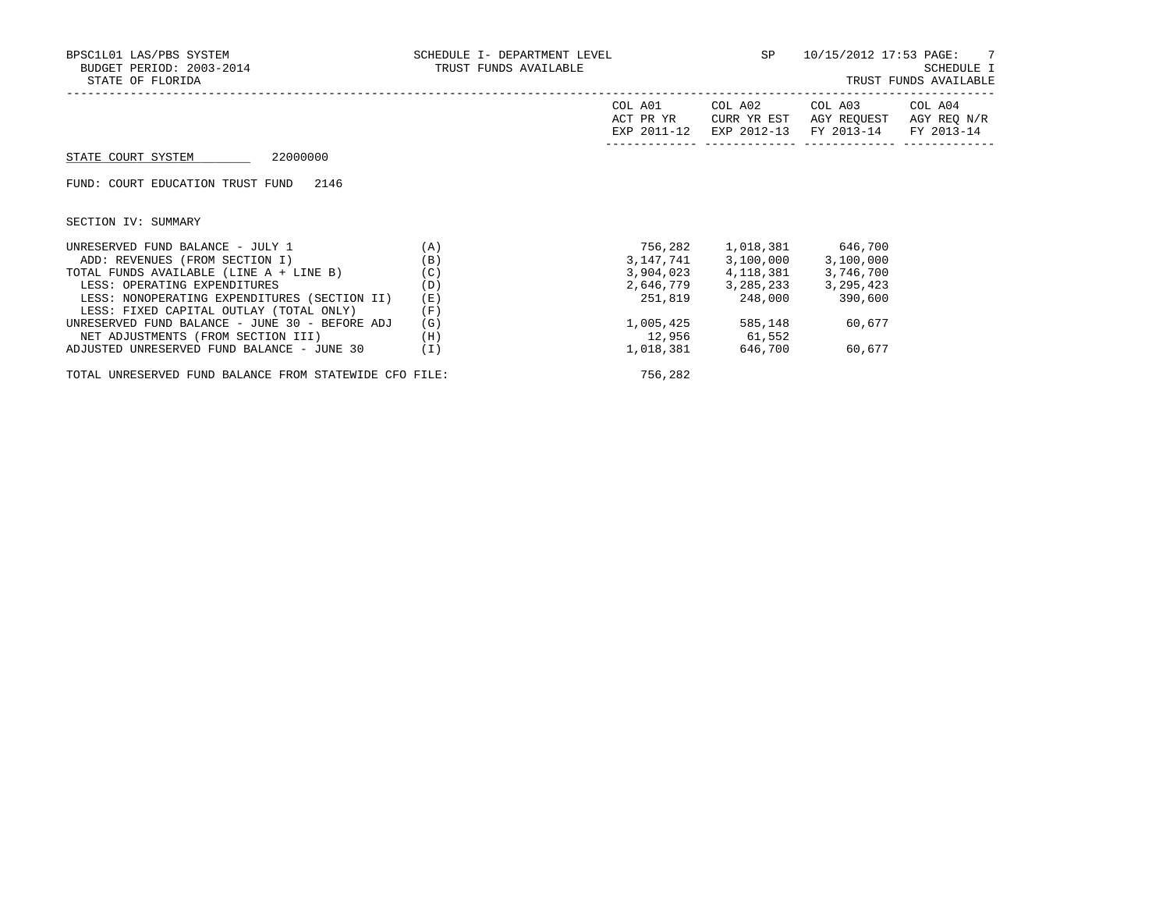| BPSC1L01 LAS/PBS SYSTEM<br>BUDGET PERIOD: 2003-2014<br>STATE OF FLORIDA | SCHEDULE I- DEPARTMENT LEVEL<br>TRUST FUNDS AVAILABLE |                                     | SP                                    | 10/15/2012 17:53 PAGE: 7             | SCHEDULE I<br>TRUST FUNDS AVAILABLE  |
|-------------------------------------------------------------------------|-------------------------------------------------------|-------------------------------------|---------------------------------------|--------------------------------------|--------------------------------------|
|                                                                         |                                                       | COL A01<br>ACT PR YR<br>EXP 2011-12 | COL A02<br>CURR YR EST<br>EXP 2012-13 | COL A03<br>AGY REOUEST<br>FY 2013-14 | COL A04<br>AGY REQ N/R<br>FY 2013-14 |
| 22000000<br>STATE COURT SYSTEM                                          |                                                       |                                     |                                       |                                      |                                      |
| 2146<br>FUND: COURT EDUCATION TRUST FUND                                |                                                       |                                     |                                       |                                      |                                      |
| SECTION IV: SUMMARY                                                     |                                                       |                                     |                                       |                                      |                                      |
| UNRESERVED FUND BALANCE - JULY 1                                        | (A)                                                   | 756,282                             |                                       | 1,018,381 646,700                    |                                      |
| ADD: REVENUES (FROM SECTION I)                                          | (B)                                                   |                                     | 3,147,741 3,100,000 3,100,000         |                                      |                                      |
| TOTAL FUNDS AVAILABLE (LINE A + LINE B)                                 | (C)                                                   |                                     | 3,904,023 4,118,381 3,746,700         |                                      |                                      |
| LESS: OPERATING EXPENDITURES                                            | (D)                                                   |                                     | 2,646,779 3,285,233 3,295,423         |                                      |                                      |
| LESS: NONOPERATING EXPENDITURES (SECTION II)                            | (E)                                                   |                                     | 251,819 248,000 390,600               |                                      |                                      |
| LESS: FIXED CAPITAL OUTLAY (TOTAL ONLY)                                 | (F)                                                   |                                     |                                       |                                      |                                      |
| UNRESERVED FUND BALANCE - JUNE 30 - BEFORE ADJ                          | (G)                                                   | 1,005,425                           |                                       | 585,148 60,677                       |                                      |
| NET ADJUSTMENTS (FROM SECTION III)                                      | (H)                                                   |                                     | 12,956 61,552                         |                                      |                                      |
| ADJUSTED UNRESERVED FUND BALANCE - JUNE 30                              | (I)                                                   |                                     | 1,018,381 646,700 60,677              |                                      |                                      |

TOTAL UNRESERVED FUND BALANCE FROM STATEWIDE CFO FILE: 756,282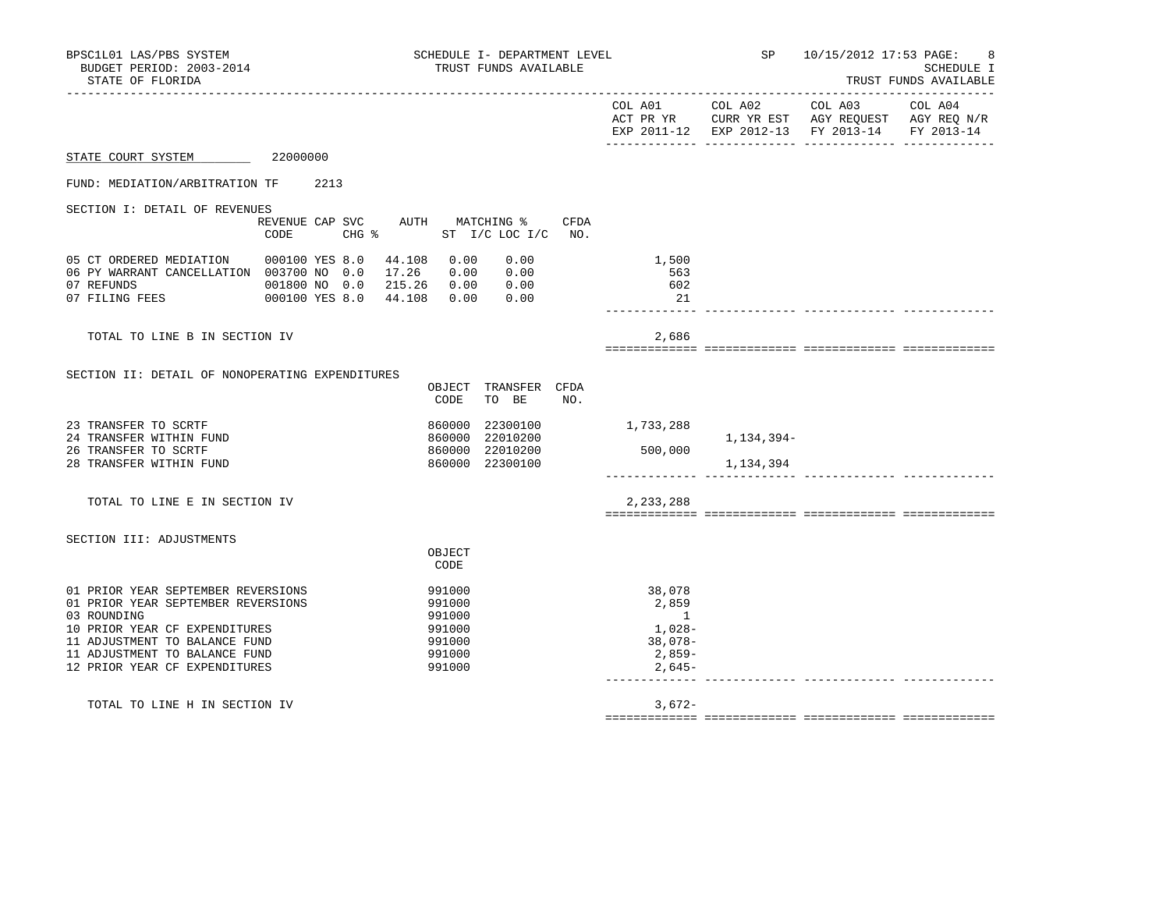| BPSC1L01 LAS/PBS SYSTEM<br>BUDGET PERIOD: 2003-2014<br>STATE OF FLORIDA                                                                                                                                                     |                                                  | SCHEDULE I- DEPARTMENT LEVEL<br>TRUST FUNDS AVAILABLE                          |                                                                   | SP                      | 10/15/2012 17:53 PAGE:                                                                                                            | SCHEDULE I<br>TRUST FUNDS AVAILABLE<br>----------- |
|-----------------------------------------------------------------------------------------------------------------------------------------------------------------------------------------------------------------------------|--------------------------------------------------|--------------------------------------------------------------------------------|-------------------------------------------------------------------|-------------------------|-----------------------------------------------------------------------------------------------------------------------------------|----------------------------------------------------|
|                                                                                                                                                                                                                             |                                                  |                                                                                |                                                                   |                         | COL A01 COL A02 COL A03 COL A04<br>ACT PR YR CURR YR EST AGY REQUEST AGY REQ N/R<br>EXP 2011-12 EXP 2012-13 FY 2013-14 FY 2013-14 |                                                    |
| STATE COURT SYSTEM 22000000                                                                                                                                                                                                 |                                                  |                                                                                |                                                                   |                         |                                                                                                                                   |                                                    |
| FUND: MEDIATION/ARBITRATION TF                                                                                                                                                                                              | 2213                                             |                                                                                |                                                                   |                         |                                                                                                                                   |                                                    |
| SECTION I: DETAIL OF REVENUES                                                                                                                                                                                               | REVENUE CAP SVC AUTH MATCHING %<br>CODE<br>CHG % | CFDA<br>ST I/C LOC I/C NO.                                                     |                                                                   |                         |                                                                                                                                   |                                                    |
| 05 CT ORDERED MEDIATION 000100 YES 8.0 44.108 0.00<br>06 PY WARRANT CANCELLATION 003700 NO 0.0 17.26 0.00 0.00                                                                                                              |                                                  | 0.00                                                                           | 1,500<br>563<br>602<br>21                                         |                         |                                                                                                                                   |                                                    |
| TOTAL TO LINE B IN SECTION IV                                                                                                                                                                                               |                                                  |                                                                                | 2,686                                                             |                         |                                                                                                                                   |                                                    |
| SECTION II: DETAIL OF NONOPERATING EXPENDITURES                                                                                                                                                                             |                                                  | OBJECT TRANSFER CFDA<br>CODE<br>TO BE<br>NO.                                   |                                                                   |                         |                                                                                                                                   |                                                    |
| 23 TRANSFER TO SCRTF<br>24 TRANSFER WITHIN FUND<br>26 TRANSFER TO SCRTF<br>28 TRANSFER WITHIN FUND                                                                                                                          |                                                  | 860000<br>22300100<br>860000<br>22010200<br>860000 22010200<br>860000 22300100 | 1,733,288<br>500,000                                              | 1,134,394–<br>1,134,394 |                                                                                                                                   |                                                    |
| TOTAL TO LINE E IN SECTION IV                                                                                                                                                                                               |                                                  |                                                                                | 2,233,288                                                         |                         |                                                                                                                                   |                                                    |
| SECTION III: ADJUSTMENTS                                                                                                                                                                                                    |                                                  | OBJECT<br>CODE                                                                 |                                                                   |                         |                                                                                                                                   |                                                    |
| 01 PRIOR YEAR SEPTEMBER REVERSIONS<br>01 PRIOR YEAR SEPTEMBER REVERSIONS<br>03 ROUNDING<br>10 PRIOR YEAR CF EXPENDITURES<br>11 ADJUSTMENT TO BALANCE FUND<br>11 ADJUSTMENT TO BALANCE FUND<br>12 PRIOR YEAR CF EXPENDITURES |                                                  | 991000<br>991000<br>991000<br>991000<br>991000<br>991000<br>991000             | 38,078<br>2,859<br>1<br>1,028-<br>$38,078-$<br>2,859-<br>$2,645-$ |                         |                                                                                                                                   |                                                    |
| TOTAL TO LINE H IN SECTION IV                                                                                                                                                                                               |                                                  |                                                                                | $3,672-$                                                          |                         |                                                                                                                                   |                                                    |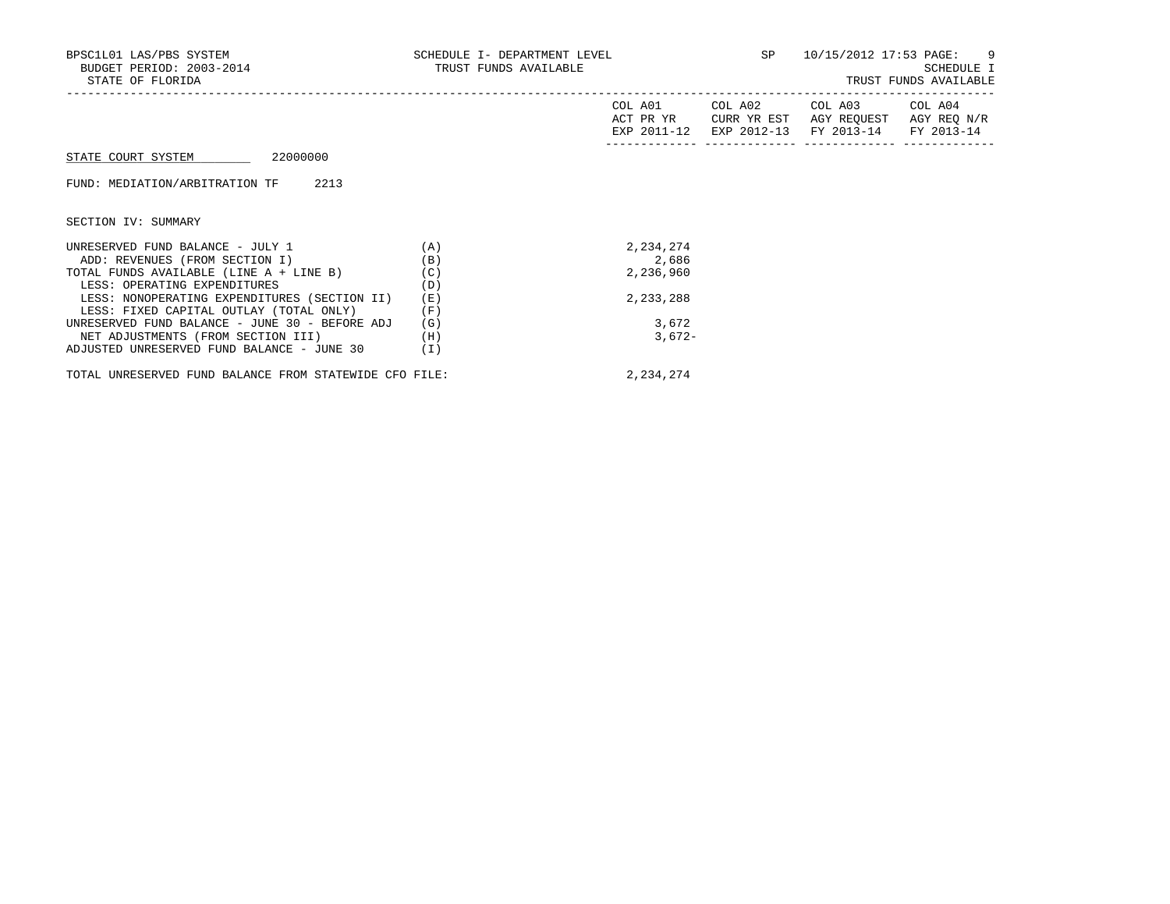| BPSC1L01 LAS/PBS SYSTEM<br>BUDGET PERIOD: 2003-2014<br>STATE OF FLORIDA | SCHEDULE I- DEPARTMENT LEVEL<br>TRUST FUNDS AVAILABLE |                      | <b>SP</b>   | 10/15/2012 17:53 PAGE: 9<br>SCHEDULE I<br>TRUST FUNDS AVAILABLE                         |             |  |
|-------------------------------------------------------------------------|-------------------------------------------------------|----------------------|-------------|-----------------------------------------------------------------------------------------|-------------|--|
|                                                                         |                                                       | COL A01<br>ACT PR YR | CURR YR EST | COL A02 COL A03 COL A04<br>AGY REOUEST<br>EXP 2011-12 EXP 2012-13 FY 2013-14 FY 2013-14 | AGY REQ N/R |  |
| 22000000<br>STATE COURT SYSTEM                                          |                                                       |                      |             |                                                                                         |             |  |
| FUND: MEDIATION/ARBITRATION TF<br>2213                                  |                                                       |                      |             |                                                                                         |             |  |
| SECTION IV: SUMMARY                                                     |                                                       |                      |             |                                                                                         |             |  |
| UNRESERVED FUND BALANCE - JULY 1                                        | (A)                                                   | 2,234,274            |             |                                                                                         |             |  |
| ADD: REVENUES (FROM SECTION I)                                          | (B)                                                   | 2,686                |             |                                                                                         |             |  |
| TOTAL FUNDS AVAILABLE (LINE A + LINE B)                                 | (C)                                                   | 2,236,960            |             |                                                                                         |             |  |
| LESS: OPERATING EXPENDITURES                                            | (D)                                                   |                      |             |                                                                                         |             |  |
| LESS: NONOPERATING EXPENDITURES (SECTION II)                            | (E)                                                   | 2,233,288            |             |                                                                                         |             |  |
| LESS: FIXED CAPITAL OUTLAY (TOTAL ONLY)                                 | (F)                                                   |                      |             |                                                                                         |             |  |
| UNRESERVED FUND BALANCE - JUNE 30 - BEFORE ADJ                          | (G)                                                   | 3,672                |             |                                                                                         |             |  |
| NET ADJUSTMENTS (FROM SECTION III)                                      | (H)                                                   | $3,672-$             |             |                                                                                         |             |  |
| ADJUSTED UNRESERVED FUND BALANCE - JUNE 30                              | (I)                                                   |                      |             |                                                                                         |             |  |

2,234,274

| TOTAL UNRESERVED FUND BALANCE FROM STATEWIDE CFO FILE: |  |  |  |
|--------------------------------------------------------|--|--|--|
|                                                        |  |  |  |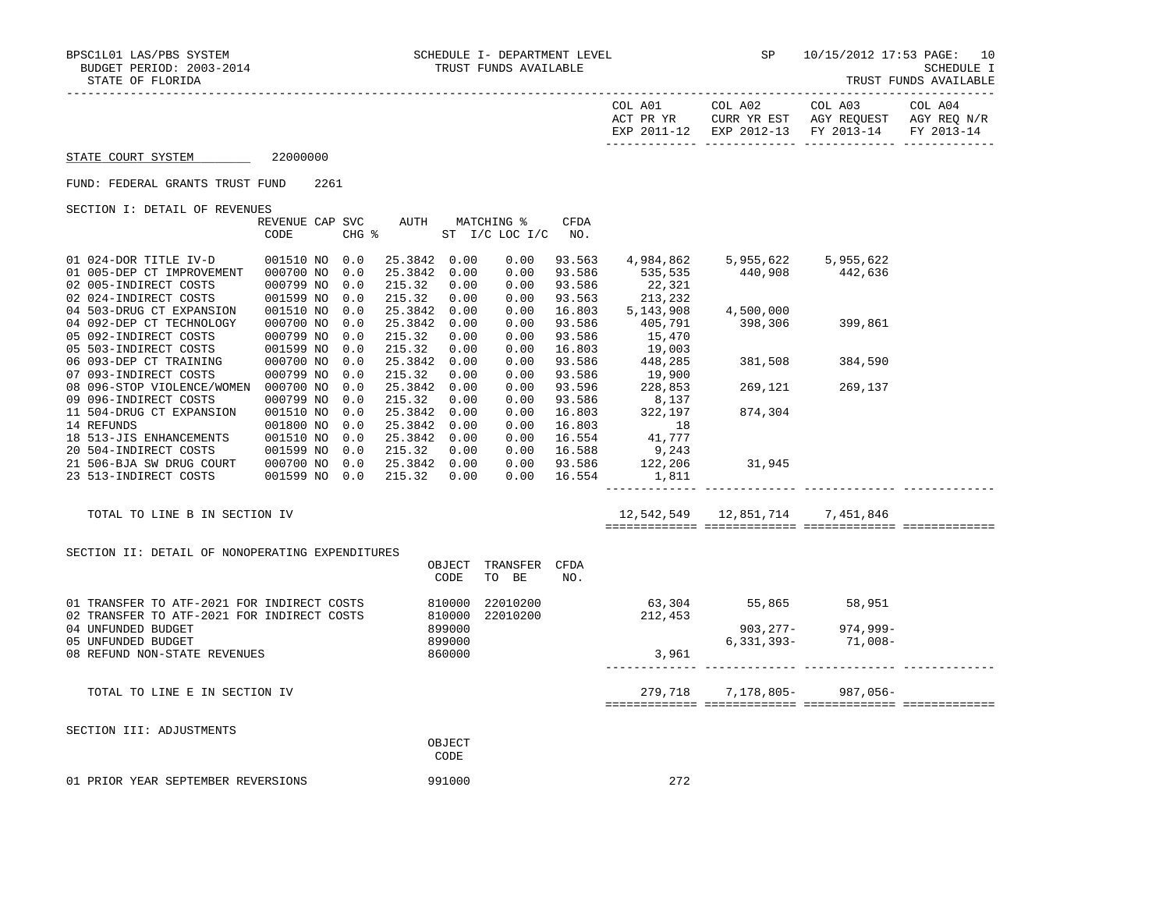| STATE OF FLORIDA                                                                                                                     |                                                  |      |                          |                                                        |                            |                                       |                                      |                                           |                                                                                      |                             | TRUST FUNDS AVAILABLE |
|--------------------------------------------------------------------------------------------------------------------------------------|--------------------------------------------------|------|--------------------------|--------------------------------------------------------|----------------------------|---------------------------------------|--------------------------------------|-------------------------------------------|--------------------------------------------------------------------------------------|-----------------------------|-----------------------|
|                                                                                                                                      |                                                  |      |                          |                                                        |                            |                                       |                                      | COL A01<br>ACT PR YR                      | COL A02<br>CURR YR EST AGY REQUEST AGY REQ N/R<br>EXP 2011-12 EXP 2012-13 FY 2013-14 | COL A03                     | COL A04<br>FY 2013-14 |
| STATE COURT SYSTEM                                                                                                                   | 22000000                                         |      |                          |                                                        |                            |                                       |                                      |                                           |                                                                                      |                             |                       |
| FUND: FEDERAL GRANTS TRUST FUND                                                                                                      |                                                  | 2261 |                          |                                                        |                            |                                       |                                      |                                           |                                                                                      |                             |                       |
| SECTION I: DETAIL OF REVENUES                                                                                                        |                                                  |      |                          |                                                        |                            |                                       |                                      |                                           |                                                                                      |                             |                       |
|                                                                                                                                      | REVENUE CAP SVC<br>CODE                          |      | CHG %                    |                                                        |                            | AUTH MATCHING %<br>ST I/C LOC I/C NO. | CFDA                                 |                                           |                                                                                      |                             |                       |
| 01 024-DOR TITLE IV-D<br>01 005-DEP CT IMPROVEMENT 000700 NO<br>02 005-INDIRECT COSTS<br>02 024-INDIRECT COSTS                       | 001510 NO 0.0<br>000799 NO<br>001599 NO          |      | 0.0<br>0.0<br>0.0        | 25.3842 0.00<br>25.3842<br>215.32<br>215.32            | 0.00<br>0.00<br>0.00       | 0.00<br>0.00<br>0.00<br>0.00          | 93.563<br>93.586<br>93.586<br>93.563 | 4,984,862<br>535,535<br>22,321<br>213,232 | $440,908$ $442,636$                                                                  | 5,955,622 5,955,622         |                       |
| 04 503-DRUG CT EXPANSION<br>04 092-DEP CT TECHNOLOGY<br>05 092-INDIRECT COSTS<br>05 503-INDIRECT COSTS                               | 001510 NO<br>000700 NO<br>000799 NO<br>001599 NO |      | 0.0<br>0.0<br>0.0<br>0.0 | 25.3842 0.00<br>25.3842<br>215.32<br>215.32            | 0.00<br>0.00<br>0.00       | 0.00<br>0.00<br>0.00<br>0.00          | 16.803<br>93.586<br>93.586<br>16.803 | 5,143,908<br>405,791<br>15,470<br>19,003  | 4,500,000<br>398,306                                                                 | 399,861                     |                       |
| 06 093-DEP CT TRAINING<br>07 093-INDIRECT COSTS                                                                                      | 000700 NO<br>000799 NO                           |      | 0.0<br>0.0               | 25.3842 0.00<br>215.32                                 | 0.00                       | 0.00<br>0.00                          | 93.586<br>93.586                     | 448,285<br>19,900                         | 381,508 384,590                                                                      |                             |                       |
| 08 096-STOP VIOLENCE/WOMEN 000700 NO<br>09 096-INDIRECT COSTS                                                                        | 000799 NO                                        |      | 0.0<br>0.0               | 25.3842<br>215.32                                      | 0.00<br>0.00               | 0.00<br>0.00                          | 93.596<br>93.586                     | 228,853<br>8,137<br>322,197               | 269,121                                                                              | 269,137                     |                       |
| 11 504-DRUG CT EXPANSION<br>14 REFUNDS<br>18 513-JIS ENHANCEMENTS<br>20 504-INDIRECT COSTS                                           | 001510 NO<br>001800 NO<br>001510 NO<br>001599 NO |      | 0.0<br>0.0<br>0.0<br>0.0 | 25.3842 0.00<br>25.3842 0.00<br>25.3842 0.00<br>215.32 | 0.00                       | 0.00<br>0.00<br>0.00<br>0.00          | 16.803<br>16.803<br>16.554<br>16.588 | 18<br>41,777<br>9,243                     | 874,304                                                                              |                             |                       |
| 21 506-BJA SW DRUG COURT<br>23 513-INDIRECT COSTS                                                                                    | 000700 NO<br>001599 NO 0.0                       |      | 0.0                      | 25.3842 0.00<br>215.32 0.00                            |                            |                                       | $0.00$ 93.586<br>$0.00$ 16.554       | 122,206<br>1,811<br>--------------        | 31,945                                                                               |                             |                       |
| TOTAL TO LINE B IN SECTION IV                                                                                                        |                                                  |      |                          |                                                        |                            |                                       |                                      |                                           | 12,542,549   12,851,714   7,451,846                                                  |                             |                       |
| SECTION II: DETAIL OF NONOPERATING EXPENDITURES                                                                                      |                                                  |      |                          |                                                        | OBJECT<br>CODE             | TRANSFER CFDA<br>TO BE                | NO.                                  |                                           |                                                                                      |                             |                       |
| 810000<br>01 TRANSFER TO ATF-2021 FOR INDIRECT COSTS<br>22010200<br>810000<br>22010200<br>02 TRANSFER TO ATF-2021 FOR INDIRECT COSTS |                                                  |      |                          |                                                        | 212,453                    | 63,304 55,865 58,951                  |                                      |                                           |                                                                                      |                             |                       |
| 04 UNFUNDED BUDGET<br>05 UNFUNDED BUDGET<br>08 REFUND NON-STATE REVENUES                                                             |                                                  |      |                          |                                                        | 899000<br>899000<br>860000 |                                       |                                      | 3,961                                     | 6,331,393-                                                                           | 903,277-974,999-<br>71,008– |                       |
| TOTAL TO LINE E IN SECTION IV                                                                                                        |                                                  |      |                          |                                                        |                            |                                       |                                      |                                           | 279,718 7,178,805- 987,056-                                                          |                             |                       |
| SECTION III: ADJUSTMENTS                                                                                                             |                                                  |      |                          |                                                        | OBJECT<br>CODE             |                                       |                                      |                                           |                                                                                      |                             |                       |

01 PRIOR YEAR SEPTEMBER REVERSIONS 991000 991000 272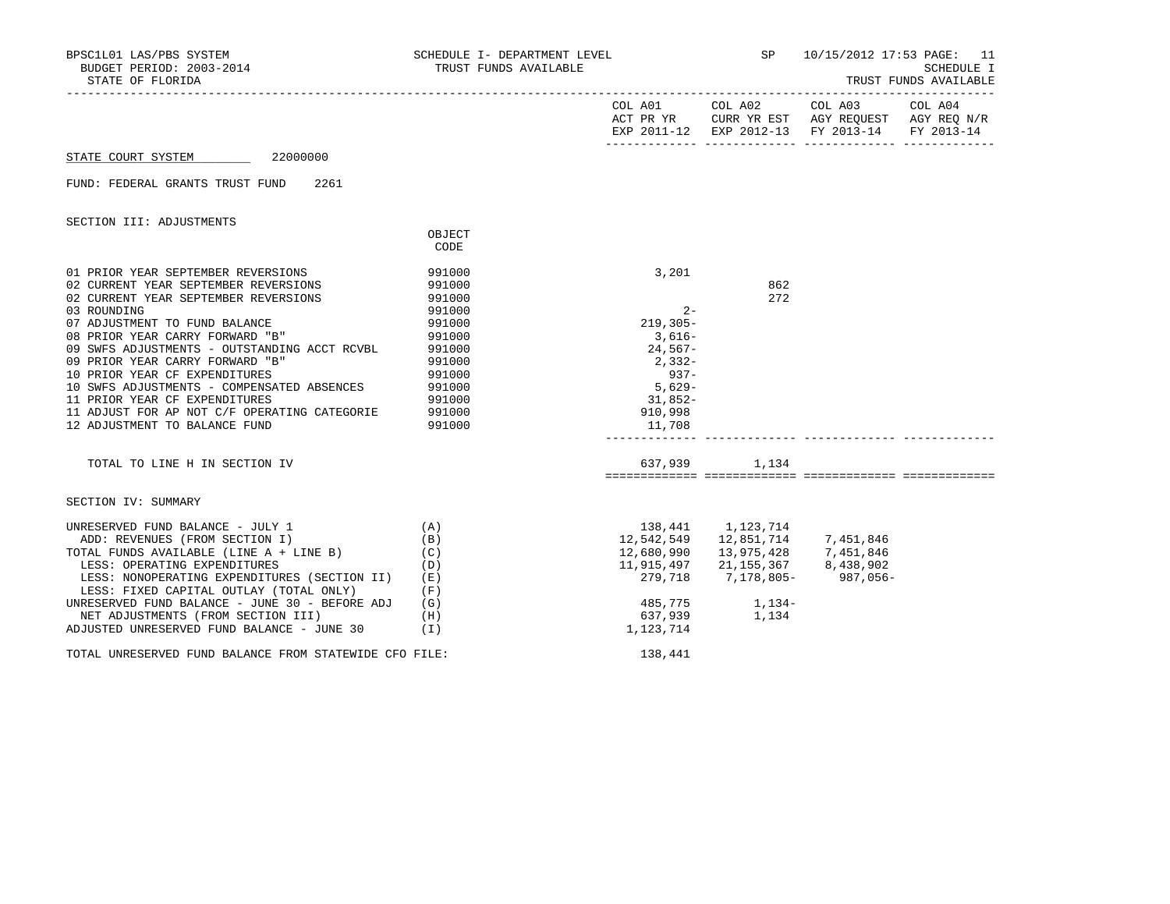| STATE OF FLORIDA                                                                                                                                                                                     |                                      |                                             |                         | SP 10/15/2012 17:53 PAGE: 11                                                                                                                           | SCHEDULE I<br>TRUST FUNDS AVAILABLE |
|------------------------------------------------------------------------------------------------------------------------------------------------------------------------------------------------------|--------------------------------------|---------------------------------------------|-------------------------|--------------------------------------------------------------------------------------------------------------------------------------------------------|-------------------------------------|
|                                                                                                                                                                                                      |                                      |                                             |                         | COL A01 COL A02 COL A03 COL A04<br>ACT PR YR $\,$ CURR YR EST $\,$ AGY REQUEST $\,$ AGY REQ $\rm N/R$<br>EXP 2011-12 EXP 2012-13 FY 2013-14 FY 2013-14 |                                     |
| STATE COURT SYSTEM 22000000                                                                                                                                                                          |                                      |                                             |                         |                                                                                                                                                        |                                     |
| 2261<br>FUND: FEDERAL GRANTS TRUST FUND                                                                                                                                                              |                                      |                                             |                         |                                                                                                                                                        |                                     |
| SECTION III: ADJUSTMENTS                                                                                                                                                                             |                                      |                                             |                         |                                                                                                                                                        |                                     |
|                                                                                                                                                                                                      | OBJECT<br>CODE                       |                                             |                         |                                                                                                                                                        |                                     |
| 01 PRIOR YEAR SEPTEMBER REVERSIONS<br>02 CURRENT YEAR SEPTEMBER REVERSIONS<br>02 CURRENT YEAR SEPTEMBER REVERSIONS<br>03 ROUNDING                                                                    | 991000<br>991000<br>991000<br>991000 | 3,201<br>$2 -$                              | 862<br>272              |                                                                                                                                                        |                                     |
| 07 ADJUSTMENT TO FUND BALANCE<br>08 PRIOR YEAR CARRY FORWARD "B"<br>09 SWFS ADJUSTMENTS - OUTSTANDING ACCT RCVBL<br>09 PRIOR YEAR CARRY FORWARD "B"                                                  | 991000<br>991000<br>991000<br>991000 | 219,305-<br>$3,616-$<br>24,567-<br>$2,332-$ |                         |                                                                                                                                                        |                                     |
| 10 PRIOR YEAR CF EXPENDITURES<br>10 SWFS ADJUSTMENTS - COMPENSATED ABSENCES 991000<br>11 PRIOR YEAR CF EXPENDITURES<br>11 ADJUST FOR AP NOT C/F OPERATING CATEGORIE                                  | 991000<br>991000<br>991000           | $937-$<br>5,629-<br>31,852-<br>910,998      |                         |                                                                                                                                                        |                                     |
| 12 ADJUSTMENT TO BALANCE FUND                                                                                                                                                                        | 991000                               | 11,708                                      |                         |                                                                                                                                                        |                                     |
| TOTAL TO LINE H IN SECTION IV                                                                                                                                                                        |                                      |                                             | 637,939 1,134           |                                                                                                                                                        |                                     |
| SECTION IV: SUMMARY                                                                                                                                                                                  |                                      |                                             |                         |                                                                                                                                                        |                                     |
| (A)<br>UNRESERVED FUND BALANCE - JULY 1<br>ADD: REVENUES (FROM SECTION I)<br>TOTAL FUNDS AVAILABLE (LINE A + LINE B)<br>LESS: OPERATING EXPENDITURES<br>LESS: NONOPERATING EXPENDITURES (SECTION II) | (B)<br>(C)<br>(D)<br>(E)             | 138,441 1,123,714<br>12,542,549<br>279,718  |                         | 11,915,497 21,155,367 8,438,902<br>7,178,805-987,056-                                                                                                  |                                     |
| LESS: FIXED CAPITAL OUTLAY (TOTAL ONLY)<br>UNRESERVED FUND BALANCE - JUNE 30 - BEFORE ADJ<br>NET ADJUSTMENTS (FROM SECTION III)                                                                      | (F)<br>(G)<br>(H)                    | 637,939                                     | 485,775 1,134-<br>1,134 |                                                                                                                                                        |                                     |
| ADJUSTED UNRESERVED FUND BALANCE - JUNE 30                                                                                                                                                           | (1)                                  | 1,123,714                                   |                         |                                                                                                                                                        |                                     |
| TOTAL UNRESERVED FUND BALANCE FROM STATEWIDE CFO FILE:                                                                                                                                               |                                      | 138,441                                     |                         |                                                                                                                                                        |                                     |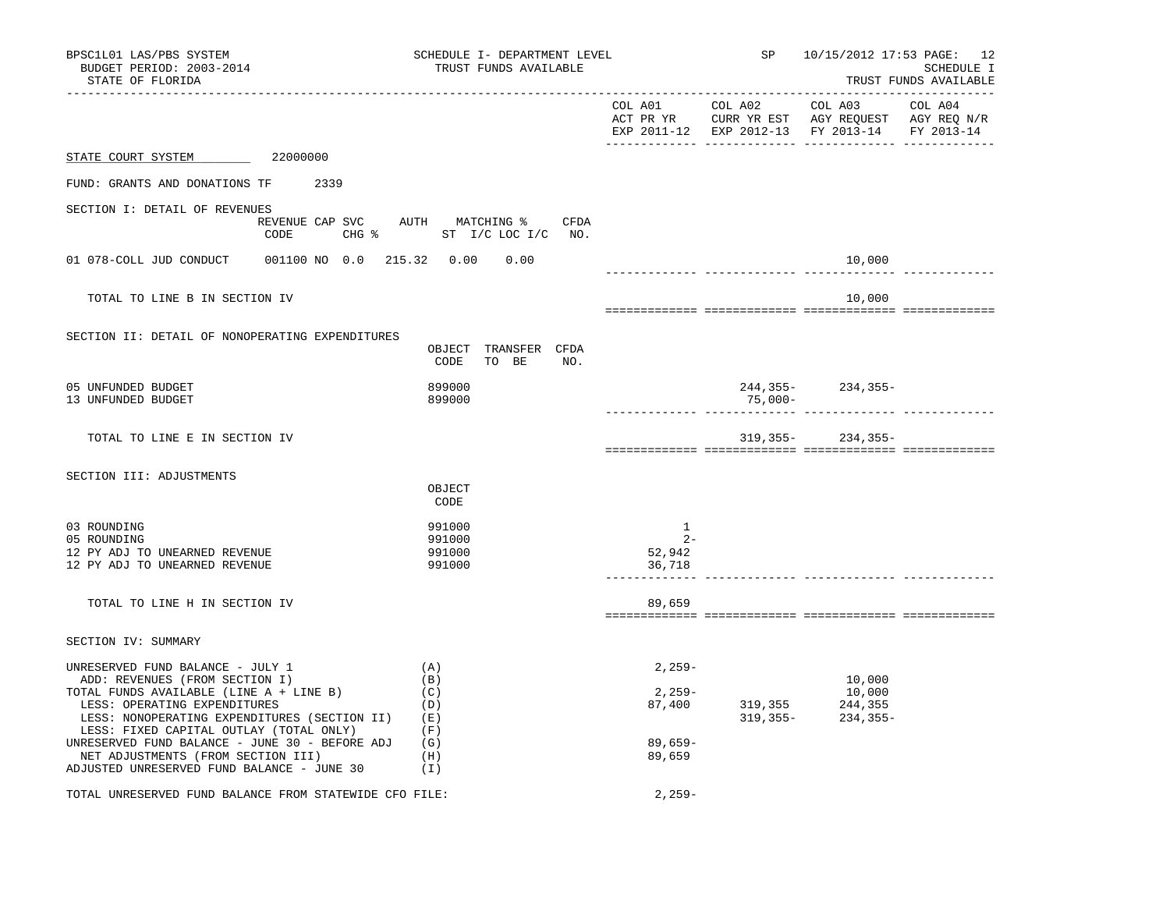| BPSC1L01 LAS/PBS SYSTEM<br>BUDGET PERIOD: 2003-2014<br>STATE OF FLORIDA                                                                                                                                                                                                                                                                                                        | SCHEDULE I- DEPARTMENT LEVEL<br>TRUST FUNDS AVAILABLE            |                                                      | SP and the set of the set of the set of the set of the set of the set of the set of the set of the set of the set of the set of the set of the set of the set of the set of the set of the set of the set of the set of the se | 10/15/2012 17:53 PAGE: 12<br>SCHEDULE I<br>TRUST FUNDS AVAILABLE                                                                  |  |  |
|--------------------------------------------------------------------------------------------------------------------------------------------------------------------------------------------------------------------------------------------------------------------------------------------------------------------------------------------------------------------------------|------------------------------------------------------------------|------------------------------------------------------|--------------------------------------------------------------------------------------------------------------------------------------------------------------------------------------------------------------------------------|-----------------------------------------------------------------------------------------------------------------------------------|--|--|
|                                                                                                                                                                                                                                                                                                                                                                                |                                                                  |                                                      |                                                                                                                                                                                                                                | COL A01 COL A02 COL A03 COL A04<br>ACT PR YR CURR YR EST AGY REQUEST AGY REQ N/R<br>EXP 2011-12 EXP 2012-13 FY 2013-14 FY 2013-14 |  |  |
| STATE COURT SYSTEM 22000000                                                                                                                                                                                                                                                                                                                                                    |                                                                  |                                                      |                                                                                                                                                                                                                                |                                                                                                                                   |  |  |
| FUND: GRANTS AND DONATIONS TF 2339                                                                                                                                                                                                                                                                                                                                             |                                                                  |                                                      |                                                                                                                                                                                                                                |                                                                                                                                   |  |  |
| SECTION I: DETAIL OF REVENUES                                                                                                                                                                                                                                                                                                                                                  |                                                                  |                                                      |                                                                                                                                                                                                                                |                                                                                                                                   |  |  |
| CODE                                                                                                                                                                                                                                                                                                                                                                           | REVENUE CAP SVC AUTH MATCHING % CFDA<br>CHG % ST I/C LOC I/C NO. |                                                      |                                                                                                                                                                                                                                |                                                                                                                                   |  |  |
| 001100 NO 0.0 215.32 0.00<br>01 078-COLL JUD CONDUCT                                                                                                                                                                                                                                                                                                                           | 0.00                                                             |                                                      |                                                                                                                                                                                                                                | 10,000                                                                                                                            |  |  |
| TOTAL TO LINE B IN SECTION IV                                                                                                                                                                                                                                                                                                                                                  |                                                                  |                                                      |                                                                                                                                                                                                                                | 10,000                                                                                                                            |  |  |
| SECTION II: DETAIL OF NONOPERATING EXPENDITURES                                                                                                                                                                                                                                                                                                                                | OBJECT TRANSFER CFDA<br>CODE<br>TO BE NO.                        |                                                      |                                                                                                                                                                                                                                |                                                                                                                                   |  |  |
| 05 UNFUNDED BUDGET<br>13 UNFUNDED BUDGET                                                                                                                                                                                                                                                                                                                                       | 899000<br>899000                                                 |                                                      | 75,000-                                                                                                                                                                                                                        | $244, 355 - 234, 355 -$                                                                                                           |  |  |
| TOTAL TO LINE E IN SECTION IV                                                                                                                                                                                                                                                                                                                                                  |                                                                  |                                                      |                                                                                                                                                                                                                                | $319,355-234,355-$                                                                                                                |  |  |
| SECTION III: ADJUSTMENTS                                                                                                                                                                                                                                                                                                                                                       | OBJECT<br>CODE                                                   |                                                      |                                                                                                                                                                                                                                |                                                                                                                                   |  |  |
| 03 ROUNDING<br>05 ROUNDING<br>12 PY ADJ TO UNEARNED REVENUE<br>12 PY ADJ TO UNEARNED REVENUE                                                                                                                                                                                                                                                                                   | 991000<br>991000<br>991000<br>991000                             | 1<br>$2 -$<br>52,942<br>36,718                       |                                                                                                                                                                                                                                |                                                                                                                                   |  |  |
| TOTAL TO LINE H IN SECTION IV                                                                                                                                                                                                                                                                                                                                                  |                                                                  | 89,659                                               |                                                                                                                                                                                                                                |                                                                                                                                   |  |  |
| SECTION IV: SUMMARY                                                                                                                                                                                                                                                                                                                                                            |                                                                  |                                                      |                                                                                                                                                                                                                                |                                                                                                                                   |  |  |
| UNRESERVED FUND BALANCE - JULY 1<br>ADD: REVENUES (FROM SECTION I)<br>TOTAL FUNDS AVAILABLE (LINE A + LINE B)<br>LESS: OPERATING EXPENDITURES<br>LESS: NONOPERATING EXPENDITURES (SECTION II)<br>LESS: FIXED CAPITAL OUTLAY (TOTAL ONLY)<br>UNRESERVED FUND BALANCE - JUNE 30 - BEFORE ADJ<br>NET ADJUSTMENTS (FROM SECTION III)<br>ADJUSTED UNRESERVED FUND BALANCE - JUNE 30 | (A)<br>(B)<br>(C)<br>(D)<br>(E)<br>(F)<br>(G)<br>(H)<br>$(\top)$ | $2,259-$<br>2,259-<br>87,400<br>$89.659 -$<br>89,659 |                                                                                                                                                                                                                                | 10,000<br>10,000<br>319, 355 244, 355<br>319, 355 - 234, 355 -                                                                    |  |  |
| TOTAL UNRESERVED FUND BALANCE FROM STATEWIDE CFO FILE:                                                                                                                                                                                                                                                                                                                         | $2,259-$                                                         |                                                      |                                                                                                                                                                                                                                |                                                                                                                                   |  |  |